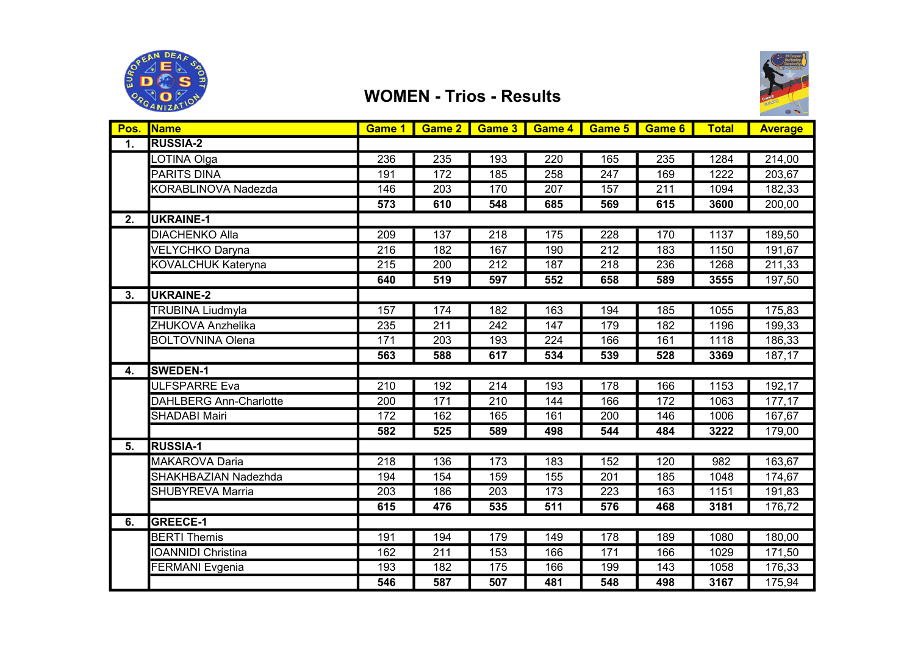

## WOMEN - Trios - Results



| Pos. | <b>Name</b>                   | Game 1           | Game 2           | Game 3 | Game 4 | Game 5 | Game 6 | <b>Total</b> | <b>Average</b> |
|------|-------------------------------|------------------|------------------|--------|--------|--------|--------|--------------|----------------|
| 1.   | <b>RUSSIA-2</b>               |                  |                  |        |        |        |        |              |                |
|      | LOTINA Olga                   | 236              | 235              | 193    | 220    | 165    | 235    | 1284         | 214,00         |
|      | <b>PARITS DINA</b>            | 191              | 172              | 185    | 258    | 247    | 169    | 1222         | 203,67         |
|      | KORABLINOVA Nadezda           | 146              | $\overline{203}$ | 170    | 207    | 157    | 211    | 1094         | 182,33         |
|      |                               | $\overline{573}$ | 610              | 548    | 685    | 569    | 615    | 3600         | 200,00         |
| 2.   | <b>UKRAINE-1</b>              |                  |                  |        |        |        |        |              |                |
|      | <b>DIACHENKO Alla</b>         | 209              | 137              | 218    | 175    | 228    | 170    | 1137         | 189,50         |
|      | <b>VELYCHKO Daryna</b>        | 216              | 182              | 167    | 190    | 212    | 183    | 1150         | 191,67         |
|      | KOVALCHUK Kateryna            | 215              | 200              | 212    | 187    | 218    | 236    | 1268         | 211,33         |
|      |                               | 640              | 519              | 597    | 552    | 658    | 589    | 3555         | 197,50         |
| 3.   | <b>UKRAINE-2</b>              |                  |                  |        |        |        |        |              |                |
|      | <b>TRUBINA Liudmyla</b>       | 157              | 174              | 182    | 163    | 194    | 185    | 1055         | 175,83         |
|      | ZHUKOVA Anzhelika             | 235              | 211              | 242    | 147    | 179    | 182    | 1196         | 199,33         |
|      | <b>BOLTOVNINA Olena</b>       | 171              | 203              | 193    | 224    | 166    | 161    | 1118         | 186,33         |
|      |                               | 563              | 588              | 617    | 534    | 539    | 528    | 3369         | 187,17         |
| 4.   | <b>SWEDEN-1</b>               |                  |                  |        |        |        |        |              |                |
|      | <b>ULFSPARRE Eva</b>          | 210              | 192              | 214    | 193    | 178    | 166    | 1153         | 192,17         |
|      | <b>DAHLBERG Ann-Charlotte</b> | 200              | 171              | 210    | 144    | 166    | 172    | 1063         | 177,17         |
|      | <b>SHADABI Mairi</b>          | 172              | 162              | 165    | 161    | 200    | 146    | 1006         | 167,67         |
|      |                               | 582              | 525              | 589    | 498    | 544    | 484    | 3222         | 179,00         |
| 5.   | <b>RUSSIA-1</b>               |                  |                  |        |        |        |        |              |                |
|      | <b>MAKAROVA Daria</b>         | 218              | 136              | 173    | 183    | 152    | 120    | 982          | 163,67         |
|      | SHAKHBAZIAN Nadezhda          | 194              | 154              | 159    | 155    | 201    | 185    | 1048         | 174,67         |
|      | <b>SHUBYREVA Marria</b>       | 203              | 186              | 203    | 173    | 223    | 163    | 1151         | 191,83         |
|      |                               | 615              | 476              | 535    | 511    | 576    | 468    | 3181         | 176,72         |
| 6.   | <b>GREECE-1</b>               |                  |                  |        |        |        |        |              |                |
|      | <b>BERTI Themis</b>           | 191              | 194              | 179    | 149    | 178    | 189    | 1080         | 180,00         |
|      | <b>IOANNIDI Christina</b>     | 162              | 211              | 153    | 166    | 171    | 166    | 1029         | 171,50         |
|      | <b>FERMANI Evgenia</b>        | 193              | 182              | 175    | 166    | 199    | 143    | 1058         | 176,33         |
|      |                               | 546              | 587              | 507    | 481    | 548    | 498    | 3167         | 175,94         |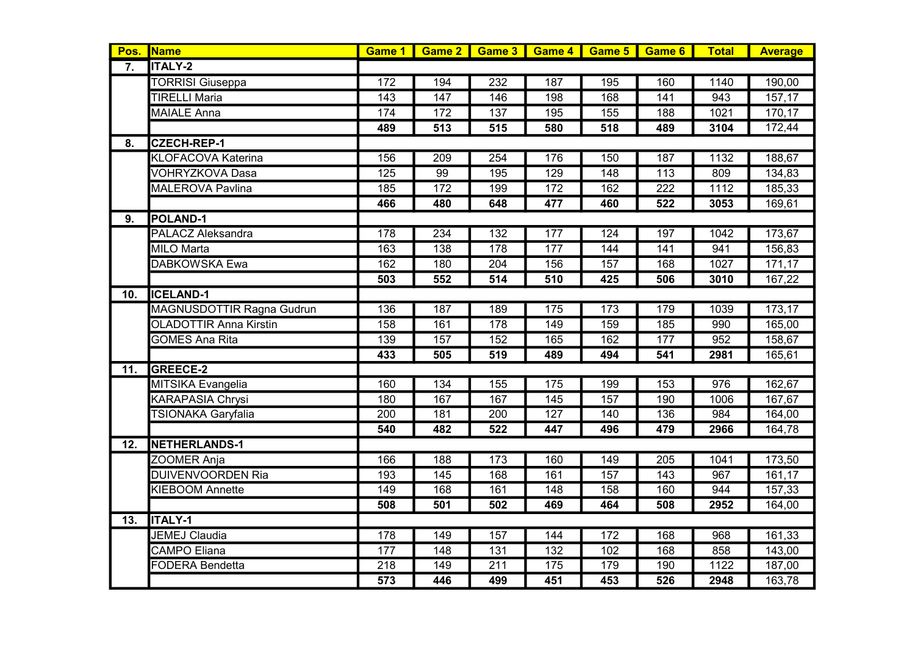| Pos.              | <b>Name</b>                   | Game 1 | Game 2           | Game 3 | Game 4           | Game 5 | Game 6           | <b>Total</b>     | <b>Average</b> |
|-------------------|-------------------------------|--------|------------------|--------|------------------|--------|------------------|------------------|----------------|
| $\overline{7}$ .  | <b>ITALY-2</b>                |        |                  |        |                  |        |                  |                  |                |
|                   | <b>TORRISI Giuseppa</b>       | 172    | 194              | 232    | 187              | 195    | 160              | 1140             | 190,00         |
|                   | <b>TIRELLI Maria</b>          | 143    | 147              | 146    | 198              | 168    | 141              | 943              | 157,17         |
|                   | <b>MAIALE Anna</b>            | 174    | 172              | 137    | 195              | 155    | 188              | 1021             | 170, 17        |
|                   |                               | 489    | 513              | 515    | 580              | 518    | 489              | 3104             | 172,44         |
| 8.                | <b>CZECH-REP-1</b>            |        |                  |        |                  |        |                  |                  |                |
|                   | <b>KLOFACOVA Katerina</b>     | 156    | $\overline{209}$ | 254    | 176              | 150    | 187              | 1132             | 188,67         |
|                   | <b>VOHRYZKOVA Dasa</b>        | 125    | 99               | 195    | $\overline{129}$ | 148    | 113              | 809              | 134,83         |
|                   | <b>MALEROVA Pavlina</b>       | 185    | 172              | 199    | 172              | 162    | $\overline{222}$ | 1112             | 185,33         |
|                   |                               | 466    | 480              | 648    | 477              | 460    | 522              | 3053             | 169,61         |
| 9.                | POLAND-1                      |        |                  |        |                  |        |                  |                  |                |
|                   | <b>PALACZ Aleksandra</b>      | 178    | 234              | 132    | 177              | 124    | 197              | 1042             | 173,67         |
|                   | <b>MILO Marta</b>             | 163    | 138              | 178    | 177              | 144    | 141              | 941              | 156,83         |
|                   | <b>DABKOWSKA Ewa</b>          | 162    | 180              | 204    | 156              | 157    | 168              | 1027             | 171,17         |
|                   |                               | 503    | 552              | 514    | 510              | 425    | 506              | 3010             | 167,22         |
| 10.               | ICELAND-1                     |        |                  |        |                  |        |                  |                  |                |
|                   | MAGNUSDOTTIR Ragna Gudrun     | 136    | 187              | 189    | 175              | 173    | 179              | 1039             | 173,17         |
|                   | <b>OLADOTTIR Anna Kirstin</b> | 158    | 161              | 178    | 149              | 159    | 185              | 990              | 165,00         |
|                   | <b>GOMES Ana Rita</b>         | 139    | 157              | 152    | 165              | 162    | 177              | 952              | 158,67         |
|                   |                               | 433    | 505              | 519    | 489              | 494    | 541              | 2981             | 165,61         |
| $\overline{11}$ . | <b>GREECE-2</b>               |        |                  |        |                  |        |                  |                  |                |
|                   | MITSIKA Evangelia             | 160    | 134              | 155    | 175              | 199    | 153              | $\overline{976}$ | 162,67         |
|                   | <b>KARAPASIA Chrysi</b>       | 180    | 167              | 167    | 145              | 157    | 190              | 1006             | 167,67         |
|                   | TSIONAKA Garyfalia            | 200    | 181              | 200    | 127              | 140    | 136              | 984              | 164,00         |
|                   |                               | 540    | 482              | 522    | 447              | 496    | 479              | 2966             | 164,78         |
| 12.               | NETHERLANDS-1                 |        |                  |        |                  |        |                  |                  |                |
|                   | <b>ZOOMER Anja</b>            | 166    | 188              | 173    | 160              | 149    | 205              | 1041             | 173,50         |
|                   | <b>DUIVENVOORDEN Ria</b>      | 193    | 145              | 168    | 161              | 157    | 143              | 967              | 161,17         |
|                   | <b>KIEBOOM Annette</b>        | 149    | 168              | 161    | 148              | 158    | 160              | 944              | 157,33         |
|                   |                               | 508    | 501              | 502    | 469              | 464    | 508              | 2952             | 164,00         |
| 13.               | <b>ITALY-1</b>                |        |                  |        |                  |        |                  |                  |                |
|                   | <b>JEMEJ Claudia</b>          | 178    | 149              | 157    | 144              | 172    | 168              | 968              | 161,33         |
|                   | <b>CAMPO Eliana</b>           | 177    | 148              | 131    | 132              | 102    | 168              | 858              | 143,00         |
|                   | <b>FODERA Bendetta</b>        | 218    | 149              | 211    | 175              | 179    | 190              | 1122             | 187,00         |
|                   |                               | 573    | 446              | 499    | 451              | 453    | 526              | 2948             | 163,78         |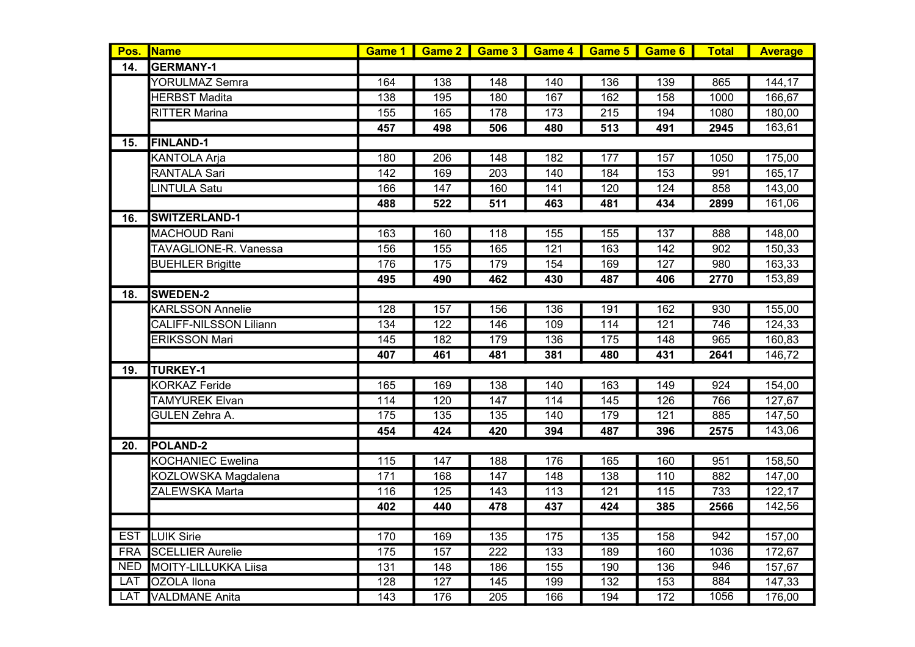| Pos.       | <b>Name</b>                   | Game 1           | Game 2           | Game 3 | Game 4 | Game 5          | Game 6 | <b>Total</b> | <b>Average</b> |
|------------|-------------------------------|------------------|------------------|--------|--------|-----------------|--------|--------------|----------------|
| 14.        | <b>GERMANY-1</b>              |                  |                  |        |        |                 |        |              |                |
|            | YORULMAZ Semra                | 164              | 138              | 148    | 140    | 136             | 139    | 865          | 144, 17        |
|            | <b>HERBST Madita</b>          | 138              | 195              | 180    | 167    | 162             | 158    | 1000         | 166,67         |
|            | <b>RITTER Marina</b>          | 155              | 165              | 178    | 173    | 215             | 194    | 1080         | 180,00         |
|            |                               | 457              | 498              | 506    | 480    | 513             | 491    | 2945         | 163,61         |
| 15.        | <b>FINLAND-1</b>              |                  |                  |        |        |                 |        |              |                |
|            | <b>KANTOLA Arja</b>           | 180              | 206              | 148    | 182    | 177             | 157    | 1050         | 175,00         |
|            | RANTALA Sari                  | 142              | 169              | 203    | 140    | 184             | 153    | 991          | 165, 17        |
|            | <b>INTULA Satu</b>            | 166              | 147              | 160    | 141    | 120             | 124    | 858          | 143,00         |
|            |                               | 488              | 522              | 511    | 463    | 481             | 434    | 2899         | 161,06         |
| 16.        | <b>SWITZERLAND-1</b>          |                  |                  |        |        |                 |        |              |                |
|            | <b>MACHOUD Rani</b>           | 163              | 160              | 118    | 155    | 155             | 137    | 888          | 148,00         |
|            | TAVAGLIONE-R. Vanessa         | 156              | 155              | 165    | 121    | 163             | 142    | 902          | 150,33         |
|            | <b>BUEHLER Brigitte</b>       | 176              | 175              | 179    | 154    | 169             | 127    | 980          | 163,33         |
|            |                               | 495              | 490              | 462    | 430    | 487             | 406    | 2770         | 153,89         |
| 18.        | <b>SWEDEN-2</b>               |                  |                  |        |        |                 |        |              |                |
|            | <b>KARLSSON Annelie</b>       | 128              | 157              | 156    | 136    | 191             | 162    | 930          | 155,00         |
|            | <b>CALIFF-NILSSON Liliann</b> | $\overline{134}$ | 122              | 146    | 109    | 114             | 121    | 746          | 124,33         |
|            | <b>ERIKSSON Mari</b>          | 145              | 182              | 179    | 136    | 175             | 148    | 965          | 160,83         |
|            |                               | 407              | 461              | 481    | 381    | 480             | 431    | 2641         | 146,72         |
| 19.        | TURKEY-1                      |                  |                  |        |        |                 |        |              |                |
|            | <b>KORKAZ Feride</b>          | 165              | 169              | 138    | 140    | 163             | 149    | 924          | 154,00         |
|            | <b>TAMYUREK Elvan</b>         | 114              | 120              | 147    | 114    | 145             | 126    | 766          | 127,67         |
|            | <b>GULEN Zehra A.</b>         | 175              | 135              | 135    | 140    | 179             | 121    | 885          | 147,50         |
|            |                               | 454              | 424              | 420    | 394    | 487             | 396    | 2575         | 143,06         |
| 20.        | <b>POLAND-2</b>               |                  |                  |        |        |                 |        |              |                |
|            | <b>KOCHANIEC Ewelina</b>      | 115              | 147              | 188    | 176    | 165             | 160    | 951          | 158,50         |
|            | <b>KOZLOWSKA Magdalena</b>    | $\overline{171}$ | 168              | 147    | 148    | $\frac{138}{ }$ | 110    | 882          | 147,00         |
|            | <b>ZALEWSKA Marta</b>         | 116              | 125              | 143    | 113    | 121             | 115    | 733          | 122, 17        |
|            |                               | 402              | 440              | 478    | 437    | 424             | 385    | 2566         | 142,56         |
|            |                               |                  |                  |        |        |                 |        |              |                |
|            | <b>EST LUIK Sirie</b>         | 170              | 169              | 135    | 175    | 135             | 158    | 942          | 157,00         |
| <b>FRA</b> | <b>SCELLIER Aurelie</b>       | 175              | 157              | 222    | 133    | 189             | 160    | 1036         | 172,67         |
| <b>NED</b> | <b>MOITY-LILLUKKA Liisa</b>   | 131              | $\overline{148}$ | 186    | 155    | 190             | 136    | 946          | 157,67         |
| LAT        | OZOLA Ilona                   | 128              | 127              | 145    | 199    | 132             | 153    | 884          | 147,33         |
| <b>LAT</b> | <b>VALDMANE</b> Anita         | 143              | 176              | 205    | 166    | 194             | 172    | 1056         | 176,00         |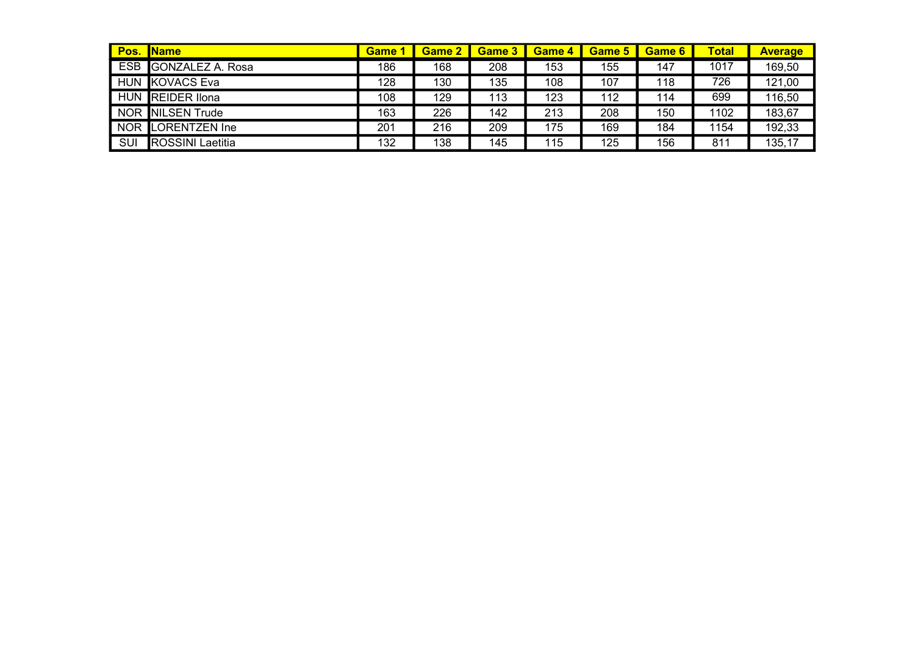| <b>Pos.</b> | <b>IName</b>             | <b>Game</b> | <b>Game 2</b> | Game 3 | Game 4 | Game 5 | Game 6 | <b>Total</b> | <b>Average</b> |
|-------------|--------------------------|-------------|---------------|--------|--------|--------|--------|--------------|----------------|
| <b>ESB</b>  | <b>GONZALEZ A. Rosa</b>  | 186         | 168           | 208    | 153    | 155    | 147    | 1017         | 169,50         |
| <b>HUN</b>  | <b>KOVACS Eva</b>        | 128         | 130           | 135    | 108    | 107    | 118    | 726          | 121,00         |
| <b>HUN</b>  | <b>REIDER Ilona</b>      | 108         | 129           | 113    | 123    | 112    | 114    | 699          | 116,50         |
|             | NOR NILSEN Trude         | 163         | 226           | 142    | 213    | 208    | 150    | 1102         | 183,67         |
| <b>NOR</b>  | <b>ILORENTZEN Ine</b>    | 201         | 216           | 209    | 175    | 169    | 184    | 1154         | 192,33         |
| SUI         | <b>IROSSINI Laetitia</b> | 132         | 138           | 145    | 115    | 125    | 156    | 811          | 135,17         |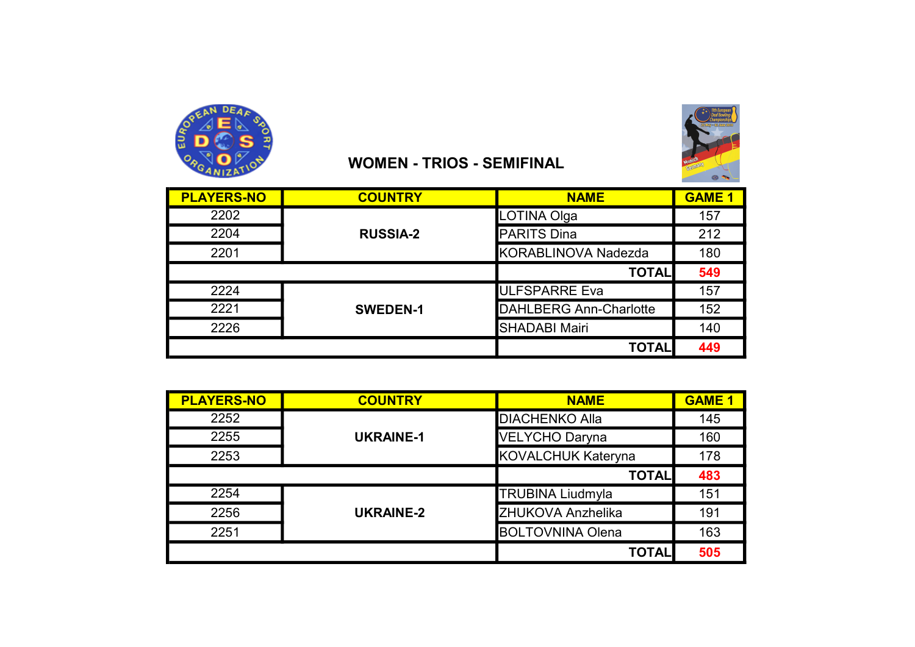

## $\bullet$

## WOMEN - TRIOS - SEMIFINAL

| <b>PLAYERS-NO</b> | <b>COUNTRY</b>  | <b>NAME</b>                   | <b>GAME 1</b> |
|-------------------|-----------------|-------------------------------|---------------|
| 2202              |                 | LOTINA Olga                   | 157           |
| 2204              | <b>RUSSIA-2</b> | <b>PARITS Dina</b>            | 212           |
| 2201              |                 | <b>KORABLINOVA Nadezda</b>    | 180           |
|                   |                 | <b>TOTAL</b>                  | 549           |
| 2224              |                 | <b>ULFSPARRE Eva</b>          | 157           |
| 2221              | <b>SWEDEN-1</b> | <b>DAHLBERG Ann-Charlotte</b> | 152           |
| 2226              |                 | <b>SHADABI Mairi</b>          | 140           |
|                   |                 | <b>TOTAL</b>                  | 449           |

| <b>PLAYERS-NO</b> | <b>COUNTRY</b>   | <b>NAME</b>               | <b>GAME 1</b> |
|-------------------|------------------|---------------------------|---------------|
| 2252              |                  | <b>DIACHENKO Alla</b>     | 145           |
| 2255              | <b>UKRAINE-1</b> | VELYCHO Daryna            | 160           |
| 2253              |                  | <b>KOVALCHUK Kateryna</b> | 178           |
|                   |                  | <b>TOTAL</b>              | 483           |
| 2254              |                  | <b>TRUBINA Liudmyla</b>   | 151           |
| 2256              | <b>UKRAINE-2</b> | ZHUKOVA Anzhelika         | 191           |
| 2251              |                  | <b>BOLTOVNINA Olena</b>   | 163           |
|                   |                  | <b>TOTAL</b>              | 505           |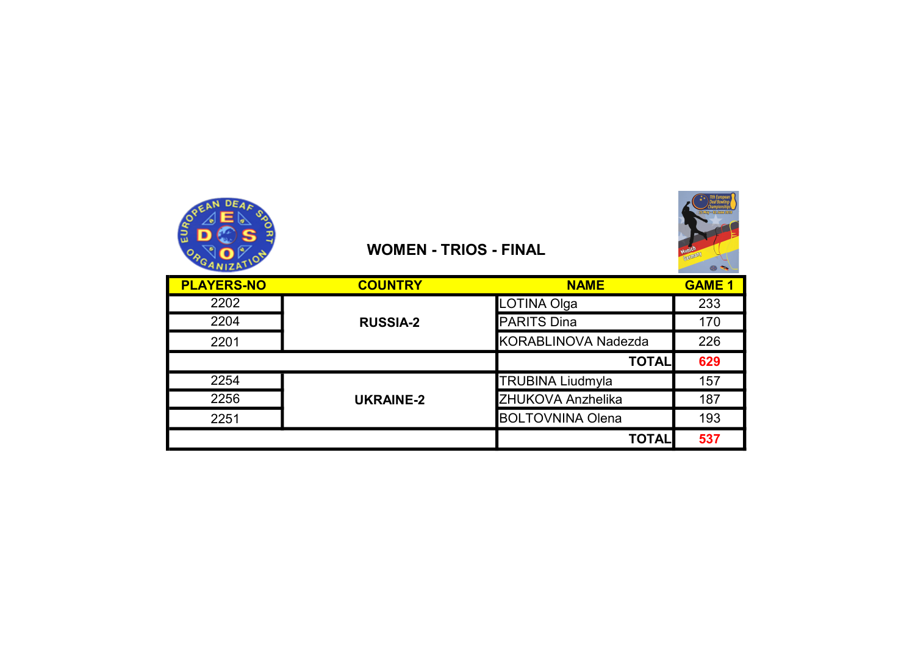

## WOMEN - TRIOS - FINAL



| <b>PLAYERS-NO</b> | <b>COUNTRY</b>   | <b>NAME</b>                | <b>GAME 1</b> |
|-------------------|------------------|----------------------------|---------------|
| 2202              |                  | LOTINA Olga                | 233           |
| 2204              | <b>RUSSIA-2</b>  | <b>PARITS Dina</b>         | 170           |
| 2201              |                  | <b>KORABLINOVA Nadezda</b> | 226           |
|                   |                  | <b>TOTAL</b>               | 629           |
| 2254              |                  | <b>TRUBINA Liudmyla</b>    | 157           |
| 2256              | <b>UKRAINE-2</b> | ZHUKOVA Anzhelika          | 187           |
| 2251              |                  | <b>BOLTOVNINA Olena</b>    | 193           |
|                   |                  | <b>TOTAL</b>               | 537           |